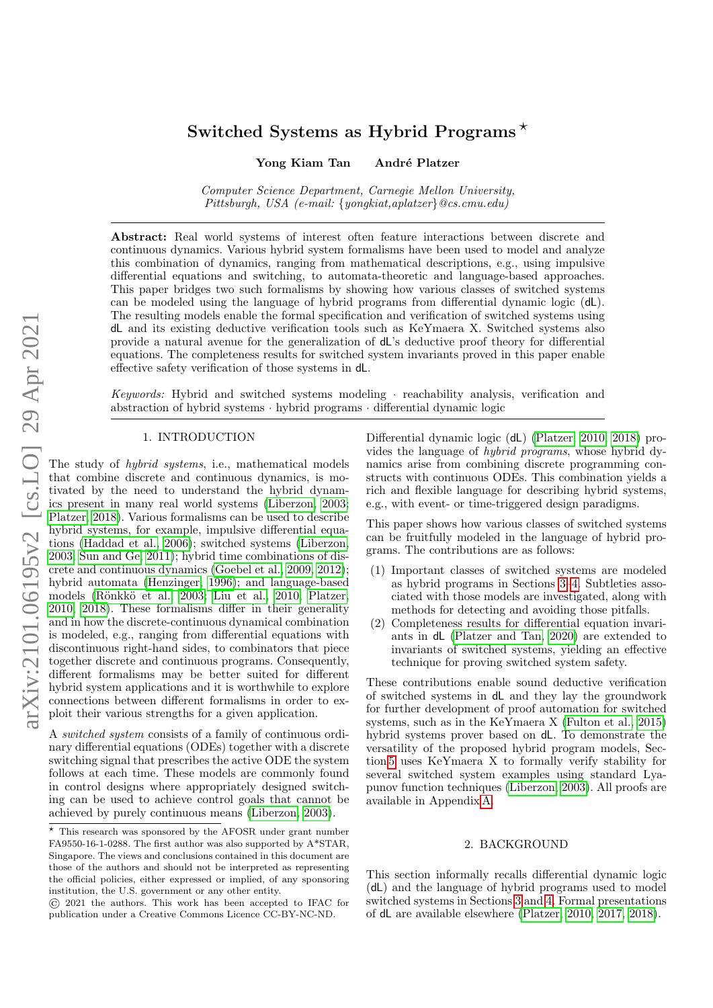# Switched Systems as Hybrid Programs<sup> $\star$ </sup>

Yong Kiam Tan André Platzer

Computer Science Department, Carnegie Mellon University, Pittsburgh, USA (e-mail: {yongkiat,aplatzer}@cs.cmu.edu)

Abstract: Real world systems of interest often feature interactions between discrete and continuous dynamics. Various hybrid system formalisms have been used to model and analyze this combination of dynamics, ranging from mathematical descriptions, e.g., using impulsive differential equations and switching, to automata-theoretic and language-based approaches. This paper bridges two such formalisms by showing how various classes of switched systems can be modeled using the language of hybrid programs from differential dynamic logic (dL). The resulting models enable the formal specification and verification of switched systems using dL and its existing deductive verification tools such as KeYmaera X. Switched systems also provide a natural avenue for the generalization of dL's deductive proof theory for differential equations. The completeness results for switched system invariants proved in this paper enable effective safety verification of those systems in dL.

Keywords: Hybrid and switched systems modeling · reachability analysis, verification and abstraction of hybrid systems · hybrid programs · differential dynamic logic

# 1. INTRODUCTION

The study of *hybrid systems*, i.e., mathematical models that combine discrete and continuous dynamics, is motivated by the need to understand the hybrid dynamics present in many real world systems [\(Liberzon, 2003;](#page-5-0) [Platzer, 2018\)](#page-5-1). Various formalisms can be used to describe hybrid systems, for example, impulsive differential equations [\(Haddad et al., 2006\)](#page-5-2); switched systems [\(Liberzon,](#page-5-0) [2003;](#page-5-0) [Sun and Ge, 2011\)](#page-5-3); hybrid time combinations of discrete and continuous dynamics [\(Goebel et al., 2009,](#page-5-4) [2012\)](#page-5-5); hybrid automata [\(Henzinger, 1996\)](#page-5-6); and language-based models (Rönkkö et al., 2003; [Liu et al., 2010;](#page-5-8) [Platzer,](#page-5-9) [2010,](#page-5-9) [2018\)](#page-5-1). These formalisms differ in their generality and in how the discrete-continuous dynamical combination is modeled, e.g., ranging from differential equations with discontinuous right-hand sides, to combinators that piece together discrete and continuous programs. Consequently, different formalisms may be better suited for different hybrid system applications and it is worthwhile to explore connections between different formalisms in order to exploit their various strengths for a given application.

A switched system consists of a family of continuous ordinary differential equations (ODEs) together with a discrete switching signal that prescribes the active ODE the system follows at each time. These models are commonly found in control designs where appropriately designed switching can be used to achieve control goals that cannot be achieved by purely continuous means [\(Liberzon, 2003\)](#page-5-0).

Differential dynamic logic (dL) [\(Platzer, 2010,](#page-5-9) [2018\)](#page-5-1) provides the language of hybrid programs, whose hybrid dynamics arise from combining discrete programming constructs with continuous ODEs. This combination yields a rich and flexible language for describing hybrid systems, e.g., with event- or time-triggered design paradigms.

This paper shows how various classes of switched systems can be fruitfully modeled in the language of hybrid programs. The contributions are as follows:

- (1) Important classes of switched systems are modeled as hybrid programs in Sections [3–](#page-1-0)[4.](#page-3-0) Subtleties associated with those models are investigated, along with methods for detecting and avoiding those pitfalls.
- (2) Completeness results for differential equation invariants in dL [\(Platzer and Tan, 2020\)](#page-5-10) are extended to invariants of switched systems, yielding an effective technique for proving switched system safety.

These contributions enable sound deductive verification of switched systems in dL and they lay the groundwork for further development of proof automation for switched systems, such as in the KeYmaera X [\(Fulton et al., 2015\)](#page-5-11) hybrid systems prover based on dL. To demonstrate the versatility of the proposed hybrid program models, Section [5](#page-4-0) uses KeYmaera X to formally verify stability for several switched system examples using standard Lyapunov function techniques [\(Liberzon, 2003\)](#page-5-0). All proofs are available in Appendix [A.](#page-6-0)

# 2. BACKGROUND

<span id="page-0-0"></span>This section informally recalls differential dynamic logic (dL) and the language of hybrid programs used to model switched systems in Sections [3](#page-1-0) and [4.](#page-3-0) Formal presentations of dL are available elsewhere [\(Platzer, 2010,](#page-5-9) [2017,](#page-5-12) [2018\)](#page-5-1).

 $\star$  This research was sponsored by the AFOSR under grant number FA9550-16-1-0288. The first author was also supported by A\*STAR, Singapore. The views and conclusions contained in this document are those of the authors and should not be interpreted as representing the official policies, either expressed or implied, of any sponsoring institution, the U.S. government or any other entity.

<sup>©</sup> 2021 the authors. This work has been accepted to IFAC for publication under a Creative Commons Licence CC-BY-NC-ND.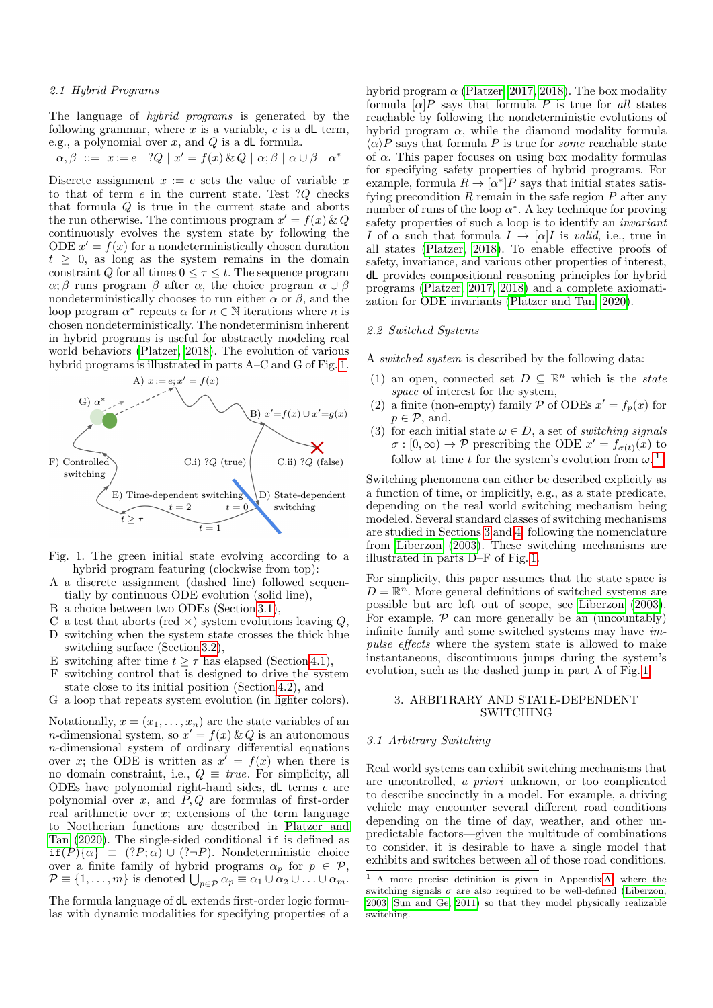The language of hybrid programs is generated by the following grammar, where  $x$  is a variable,  $e$  is a dL term, e.g., a polynomial over  $x$ , and  $Q$  is a dL formula.

$$
\alpha, \beta \ ::= x := e \mid ?Q \mid x' = f(x) \& Q \mid \alpha; \beta \mid \alpha \cup \beta \mid \alpha^*
$$

Discrete assignment  $x := e$  sets the value of variable x to that of term e in the current state. Test ?Q checks that formula Q is true in the current state and aborts the run otherwise. The continuous program  $x' = f(x) \& Q$ continuously evolves the system state by following the ODE  $x' = f(x)$  for a nondeterministically chosen duration  $t > 0$ , as long as the system remains in the domain constraint Q for all times  $0 \leq \tau \leq t$ . The sequence program  $\alpha$ ;  $\beta$  runs program  $\beta$  after  $\alpha$ , the choice program  $\alpha \cup \beta$ nondeterministically chooses to run either  $\alpha$  or  $\beta$ , and the loop program  $\alpha^*$  repeats  $\alpha$  for  $n \in \mathbb{N}$  iterations where n is chosen nondeterministically. The nondeterminism inherent in hybrid programs is useful for abstractly modeling real world behaviors [\(Platzer, 2018\)](#page-5-1). The evolution of various hybrid programs is illustrated in parts A–C and G of Fig. [1.](#page-1-1)



- Fig. 1. The green initial state evolving according to a hybrid program featuring (clockwise from top):
- A a discrete assignment (dashed line) followed sequentially by continuous ODE evolution (solid line),
- B a choice between two ODEs (Section [3.1\)](#page-1-2),
- C a test that aborts (red  $\times$ ) system evolutions leaving Q,
- D switching when the system state crosses the thick blue switching surface (Section [3.2\)](#page-2-0),
- E switching after time  $t \geq \tau$  has elapsed (Section [4.1\)](#page-3-1),
- F switching control that is designed to drive the system state close to its initial position (Section [4.2\)](#page-4-1), and
- <span id="page-1-1"></span>G a loop that repeats system evolution (in lighter colors).

Notationally,  $x = (x_1, \ldots, x_n)$  are the state variables of an *n*-dimensional system, so  $x' = f(x) \& Q$  is an autonomous n-dimensional system of ordinary differential equations over x; the ODE is written as  $x' = f(x)$  when there is no domain constraint, i.e.,  $Q \equiv \text{true}$ . For simplicity, all ODEs have polynomial right-hand sides, dL terms e are polynomial over  $x$ , and  $P$ ,  $Q$  are formulas of first-order real arithmetic over  $x$ ; extensions of the term language to Noetherian functions are described in [Platzer and](#page-5-10) [Tan \(2020\)](#page-5-10). The single-sided conditional if is defined as  $if(P)$  $\{\alpha\} \equiv (?P; \alpha) \cup (? \neg P)$ . Nondeterministic choice over a finite family of hybrid programs  $\alpha_p$  for  $p \in \mathcal{P}$ ,  $\mathcal{P} \equiv \{1, \ldots, m\}$  is denoted  $\bigcup_{p \in \mathcal{P}} \alpha_p \equiv \alpha_1 \cup \alpha_2 \cup \ldots \cup \alpha_m$ .

The formula language of dL extends first-order logic formulas with dynamic modalities for specifying properties of a hybrid program  $\alpha$  [\(Platzer, 2017,](#page-5-12) [2018\)](#page-5-1). The box modality formula  $\lbrack \alpha \rbrack P$  says that formula P is true for all states reachable by following the nondeterministic evolutions of hybrid program  $\alpha$ , while the diamond modality formula  $\langle \alpha \rangle P$  says that formula P is true for *some* reachable state of  $\alpha$ . This paper focuses on using box modality formulas for specifying safety properties of hybrid programs. For example, formula  $R \to [\alpha^*]P$  says that initial states satisfying precondition  $R$  remain in the safe region  $P$  after any number of runs of the loop  $\alpha^*$ . A key technique for proving safety properties of such a loop is to identify an invariant I of  $\alpha$  such that formula  $I \to [\alpha]I$  is valid, i.e., true in all states [\(Platzer, 2018\)](#page-5-1). To enable effective proofs of safety, invariance, and various other properties of interest, dL provides compositional reasoning principles for hybrid programs [\(Platzer, 2017,](#page-5-12) [2018\)](#page-5-1) and a complete axiomatization for ODE invariants [\(Platzer and Tan, 2020\)](#page-5-10).

#### 2.2 Switched Systems

A switched system is described by the following data:

- (1) an open, connected set  $D \subseteq \mathbb{R}^n$  which is the *state* space of interest for the system,
- (2) a finite (non-empty) family  $P$  of ODEs  $x' = f_p(x)$  for  $p \in \mathcal{P}$ , and,
- (3) for each initial state  $\omega \in D$ , a set of switching signals  $\sigma : [0, \infty) \to \mathcal{P}$  prescribing the ODE  $x' = f_{\sigma(t)}(x)$  to follow at time t for the system's evolution from  $\omega$ .<sup>[1](#page-1-3)</sup>

Switching phenomena can either be described explicitly as a function of time, or implicitly, e.g., as a state predicate, depending on the real world switching mechanism being modeled. Several standard classes of switching mechanisms are studied in Sections [3](#page-1-0) and [4,](#page-3-0) following the nomenclature from [Liberzon \(2003\)](#page-5-0). These switching mechanisms are illustrated in parts D–F of Fig. [1.](#page-1-1)

For simplicity, this paper assumes that the state space is  $D = \mathbb{R}^n$ . More general definitions of switched systems are possible but are left out of scope, see [Liberzon \(2003\)](#page-5-0). For example,  $P$  can more generally be an (uncountably) infinite family and some switched systems may have impulse effects where the system state is allowed to make instantaneous, discontinuous jumps during the system's evolution, such as the dashed jump in part A of Fig. [1.](#page-1-1)

# <span id="page-1-0"></span>3. ARBITRARY AND STATE-DEPENDENT SWITCHING

#### <span id="page-1-2"></span>3.1 Arbitrary Switching

Real world systems can exhibit switching mechanisms that are uncontrolled, a priori unknown, or too complicated to describe succinctly in a model. For example, a driving vehicle may encounter several different road conditions depending on the time of day, weather, and other unpredictable factors—given the multitude of combinations to consider, it is desirable to have a single model that exhibits and switches between all of those road conditions.

<span id="page-1-3"></span><sup>&</sup>lt;sup>1</sup> A more precise definition is given in Appendix [A,](#page-6-0) where the switching signals  $\sigma$  are also required to be well-defined [\(Liberzon,](#page-5-0) [2003;](#page-5-0) [Sun and Ge, 2011\)](#page-5-3) so that they model physically realizable switching.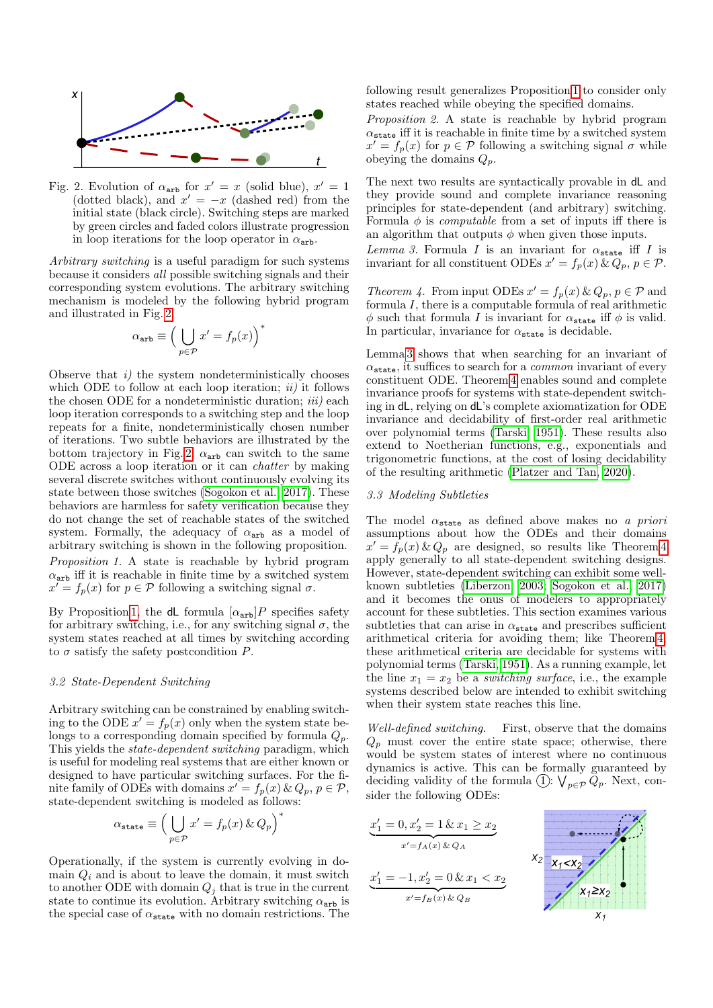<span id="page-2-1"></span>

Fig. 2. Evolution of  $\alpha_{\text{arb}}$  for  $x' = x$  (solid blue),  $x' = 1$ (dotted black), and  $x' = -x$  (dashed red) from the initial state (black circle). Switching steps are marked by green circles and faded colors illustrate progression in loop iterations for the loop operator in  $\alpha_{\text{arb}}$ .

Arbitrary switching is a useful paradigm for such systems because it considers all possible switching signals and their corresponding system evolutions. The arbitrary switching mechanism is modeled by the following hybrid program and illustrated in Fig. [2.](#page-2-1)

$$
\alpha_{\text{arb}} \equiv \Big( \bigcup_{p \in \mathcal{P}} x' = f_p(x) \Big)^*
$$

Observe that  $i$ ) the system nondeterministically chooses which ODE to follow at each loop iteration;  $ii)$  it follows the chosen ODE for a nondeterministic duration;  $iii)$  each loop iteration corresponds to a switching step and the loop repeats for a finite, nondeterministically chosen number of iterations. Two subtle behaviors are illustrated by the bottom trajectory in Fig. [2:](#page-2-1)  $\alpha_{\text{arb}}$  can switch to the same ODE across a loop iteration or it can chatter by making several discrete switches without continuously evolving its state between those switches [\(Sogokon et al., 2017\)](#page-5-13). These behaviors are harmless for safety verification because they do not change the set of reachable states of the switched system. Formally, the adequacy of  $\alpha_{\texttt{arb}}$  as a model of arbitrary switching is shown in the following proposition. Proposition 1. A state is reachable by hybrid program  $\alpha$ <sub>arb</sub> iff it is reachable in finite time by a switched system  $x' = f_p(x)$  for  $p \in \mathcal{P}$  following a switching signal  $\sigma$ .

<span id="page-2-2"></span>By Proposition [1,](#page-2-2) the dL formula  $[\alpha_{\text{arb}}]P$  specifies safety for arbitrary switching, i.e., for any switching signal  $\sigma$ , the system states reached at all times by switching according to  $\sigma$  satisfy the safety postcondition P.

#### <span id="page-2-0"></span>3.2 State-Dependent Switching

Arbitrary switching can be constrained by enabling switching to the ODE  $x' = f_p(x)$  only when the system state belongs to a corresponding domain specified by formula  $Q_p$ . This yields the state-dependent switching paradigm, which is useful for modeling real systems that are either known or designed to have particular switching surfaces. For the finite family of ODEs with domains  $x' = f_p(x) \& Q_p, p \in \mathcal{P}$ , state-dependent switching is modeled as follows:

$$
\alpha_{\texttt{state}} \equiv \Big( \bigcup_{p \in \mathcal{P}} x' = f_p(x) \, \& \, Q_p \Big)^*
$$

Operationally, if the system is currently evolving in domain  $Q_i$  and is about to leave the domain, it must switch to another ODE with domain  $Q_j$  that is true in the current state to continue its evolution. Arbitrary switching  $\alpha_{\text{arb}}$  is the special case of  $\alpha_{\texttt{state}}$  with no domain restrictions. The

following result generalizes Proposition [1](#page-2-2) to consider only states reached while obeying the specified domains.

<span id="page-2-5"></span>Proposition 2. A state is reachable by hybrid program  $\alpha_{\texttt{state}}$  iff it is reachable in finite time by a switched system  $x' = f_p(x)$  for  $p \in \mathcal{P}$  following a switching signal  $\sigma$  while obeying the domains  $Q_p$ .

The next two results are syntactically provable in dL and they provide sound and complete invariance reasoning principles for state-dependent (and arbitrary) switching. Formula  $\phi$  is *computable* from a set of inputs iff there is an algorithm that outputs  $\phi$  when given those inputs.

<span id="page-2-3"></span>Lemma 3. Formula I is an invariant for  $\alpha_{\texttt{state}}$  iff I is invariant for all constituent ODEs  $x' = f_p(x) \& Q_p, p \in \mathcal{P}$ .

<span id="page-2-4"></span>Theorem 4. From input ODEs  $x' = f_p(x) \& Q_p, p \in \mathcal{P}$  and formula I, there is a computable formula of real arithmetic  $\phi$  such that formula I is invariant for  $\alpha_{\text{state}}$  iff  $\phi$  is valid. In particular, invariance for  $\alpha_{\text{state}}$  is decidable.

Lemma [3](#page-2-3) shows that when searching for an invariant of  $\alpha_{\text{state}}$ , it suffices to search for a *common* invariant of every constituent ODE. Theorem [4](#page-2-4) enables sound and complete invariance proofs for systems with state-dependent switching in dL, relying on dL's complete axiomatization for ODE invariance and decidability of first-order real arithmetic over polynomial terms [\(Tarski, 1951\)](#page-6-1). These results also extend to Noetherian functions, e.g., exponentials and trigonometric functions, at the cost of losing decidability of the resulting arithmetic [\(Platzer and Tan, 2020\)](#page-5-10).

## <span id="page-2-6"></span>3.3 Modeling Subtleties

The model  $\alpha_{\texttt{state}}$  as defined above makes no a priori assumptions about how the ODEs and their domains  $x' = f_p(x) \& Q_p$  are designed, so results like Theorem [4](#page-2-4) apply generally to all state-dependent switching designs. However, state-dependent switching can exhibit some wellknown subtleties [\(Liberzon, 2003;](#page-5-0) [Sogokon et al., 2017\)](#page-5-13) and it becomes the onus of modelers to appropriately account for these subtleties. This section examines various subtleties that can arise in  $\alpha_{\texttt{state}}$  and prescribes sufficient arithmetical criteria for avoiding them; like Theorem [4,](#page-2-4) these arithmetical criteria are decidable for systems with polynomial terms [\(Tarski, 1951\)](#page-6-1). As a running example, let the line  $x_1 = x_2$  be a *switching surface*, i.e., the example systems described below are intended to exhibit switching when their system state reaches this line.

Well-defined switching. First, observe that the domains  $Q_p$  must cover the entire state space; otherwise, there would be system states of interest where no continuous dynamics is active. This can be formally guaranteed by deciding validity of the formula (1):  $\bigvee_{p \in \mathcal{P}} Q_p$ . Next, consider the following ODEs:

$$
x'_1 = 0, x'_2 = 1 \& x_1 \ge x_2
$$
  
\n
$$
x' = f_A(x) \& Q_A
$$
  
\n
$$
x'_1 = -1, x'_2 = 0 \& x_1 < x_2
$$
  
\n
$$
x' = f_B(x) \& Q_B
$$
  
\n
$$
x_1 \ge x_2
$$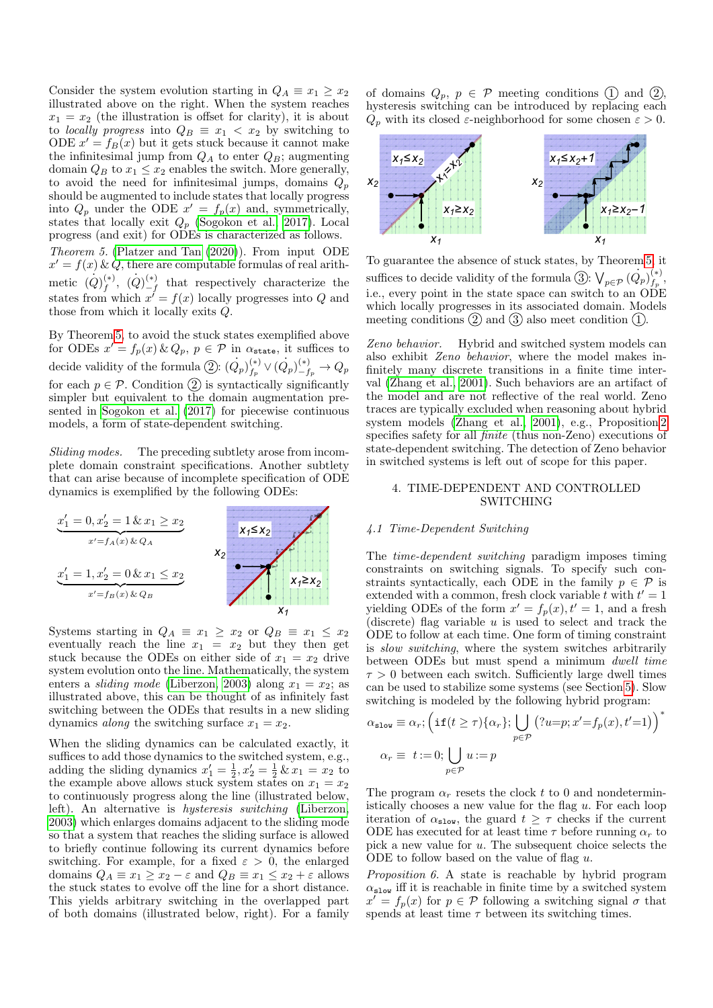Consider the system evolution starting in  $Q_A \equiv x_1 \geq x_2$ illustrated above on the right. When the system reaches  $x_1 = x_2$  (the illustration is offset for clarity), it is about to *locally progress* into  $Q_B \equiv x_1 \lt x_2$  by switching to ODE  $x' = f_B(x)$  but it gets stuck because it cannot make the infinitesimal jump from  $Q_A$  to enter  $Q_B$ ; augmenting domain  $Q_B$  to  $x_1 \leq x_2$  enables the switch. More generally, to avoid the need for infinitesimal jumps, domains  $Q_p$ should be augmented to include states that locally progress into  $Q_p$  under the ODE  $x' = f_p(x)$  and, symmetrically, states that locally exit  $Q_p$  [\(Sogokon et al., 2017\)](#page-5-13). Local progress (and exit) for ODEs is characterized as follows. Theorem 5. [\(Platzer and Tan \(2020\)](#page-5-10)). From input ODE  $x' = f(x) \& \dot{Q}$ , there are computable formulas of real arith-

<span id="page-3-2"></span>metic  $(Q)_{f}^{(*)}$  $\stackrel{(*)}{f}, \stackrel{(*)}{(Q)}\stackrel{(*)}{-f}$  $\binom{(*)}{-f}$  that respectively characterize the states from which  $x' = f(x)$  locally progresses into Q and those from which it locally exits Q.

By Theorem [5,](#page-3-2) to avoid the stuck states exemplified above for ODEs  $x' = f_p(x) \& Q_p, p \in \mathcal{P}$  in  $\alpha_{\text{state}}$ , it suffices to decide validity of the formula 2:  $(Q_p)_{f_p}^{(*)}$  $\stackrel{(*)}{\hskip 2pt}_{f_p} \vee (\dot Q_p)_{-f_p}^{(*)}\to Q_p$ for each  $p \in \mathcal{P}$ . Condition  $\textcircled{2}$  is syntactically significantly simpler but equivalent to the domain augmentation presented in [Sogokon et al. \(2017\)](#page-5-13) for piecewise continuous models, a form of state-dependent switching.

Sliding modes. The preceding subtlety arose from incomplete domain constraint specifications. Another subtlety that can arise because of incomplete specification of ODE dynamics is exemplified by the following ODEs:



Systems starting in  $Q_A \equiv x_1 \ge x_2$  or  $Q_B \equiv x_1 \le x_2$ eventually reach the line  $x_1 = x_2$  but they then get stuck because the ODEs on either side of  $x_1 = x_2$  drive system evolution onto the line. Mathematically, the system enters a *sliding mode* [\(Liberzon, 2003\)](#page-5-0) along  $x_1 = x_2$ ; as illustrated above, this can be thought of as infinitely fast switching between the ODEs that results in a new sliding dynamics *along* the switching surface  $x_1 = x_2$ .

When the sliding dynamics can be calculated exactly, it suffices to add those dynamics to the switched system, e.g., adding the sliding dynamics  $x_1' = \frac{1}{2}, x_2' = \frac{1}{2} \& x_1 = x_2$  to the example above allows stuck system states on  $x_1 = x_2$ to continuously progress along the line (illustrated below, left). An alternative is hysteresis switching [\(Liberzon,](#page-5-0) [2003\)](#page-5-0) which enlarges domains adjacent to the sliding mode so that a system that reaches the sliding surface is allowed to briefly continue following its current dynamics before switching. For example, for a fixed  $\varepsilon > 0$ , the enlarged domains  $Q_A \equiv x_1 \ge x_2 - \varepsilon$  and  $Q_B \equiv x_1 \le x_2 + \varepsilon$  allows the stuck states to evolve off the line for a short distance. This yields arbitrary switching in the overlapped part of both domains (illustrated below, right). For a family of domains  $Q_p$ ,  $p \in \mathcal{P}$  meeting conditions (1) and (2), hysteresis switching can be introduced by replacing each  $Q_p$  with its closed  $\varepsilon$ -neighborhood for some chosen  $\varepsilon > 0$ .



To guarantee the absence of stuck states, by Theorem [5,](#page-3-2) it . suffices to decide validity of the formula  $\textcircled{3}$ :  $\bigvee_{p \in \mathcal{P}} (Q_p)_{f_p}^{(*)}$  $f_p^{\ast}$ i.e., every point in the state space can switch to an ODE which locally progresses in its associated domain. Models meeting conditions  $(2)$  and  $(3)$  also meet condition  $(1)$ .

Zeno behavior. Hybrid and switched system models can also exhibit Zeno behavior, where the model makes infinitely many discrete transitions in a finite time interval [\(Zhang et al., 2001\)](#page-6-2). Such behaviors are an artifact of the model and are not reflective of the real world. Zeno traces are typically excluded when reasoning about hybrid system models [\(Zhang et al., 2001\)](#page-6-2), e.g., Proposition [2](#page-2-5) specifies safety for all finite (thus non-Zeno) executions of state-dependent switching. The detection of Zeno behavior in switched systems is left out of scope for this paper.

## <span id="page-3-0"></span>4. TIME-DEPENDENT AND CONTROLLED SWITCHING

# <span id="page-3-1"></span>4.1 Time-Dependent Switching

The time-dependent switching paradigm imposes timing constraints on switching signals. To specify such constraints syntactically, each ODE in the family  $p \in \mathcal{P}$  is extended with a common, fresh clock variable t with  $t' = 1$ yielding ODEs of the form  $x' = f_p(x)$ ,  $t' = 1$ , and a fresh (discrete) flag variable  $u$  is used to select and track the ODE to follow at each time. One form of timing constraint is slow switching, where the system switches arbitrarily between ODEs but must spend a minimum dwell time  $\tau > 0$  between each switch. Sufficiently large dwell times can be used to stabilize some systems (see Section [5\)](#page-4-0). Slow switching is modeled by the following hybrid program:

$$
\alpha_{\text{slow}} \equiv \alpha_r; \left( \text{if}(t \ge \tau) \{ \alpha_r \}; \bigcup_{p \in \mathcal{P}} \left( ?u = p; x' = f_p(x), t' = 1 \right) \right)^* \n\alpha_r \equiv t := 0; \bigcup_{p \in \mathcal{P}} u := p
$$

The program  $\alpha_r$  resets the clock t to 0 and nondeterministically chooses a new value for the flag  $u$ . For each loop iteration of  $\alpha_{\text{slow}}$ , the guard  $t > \tau$  checks if the current ODE has executed for at least time  $\tau$  before running  $\alpha_r$  to pick a new value for u. The subsequent choice selects the ODE to follow based on the value of flag  $u$ .

<span id="page-3-4"></span><span id="page-3-3"></span>Proposition 6. A state is reachable by hybrid program  $\alpha_{\tt slow}$  iff it is reachable in finite time by a switched system  $x' = f_p(x)$  for  $p \in \mathcal{P}$  following a switching signal  $\sigma$  that spends at least time  $\tau$  between its switching times.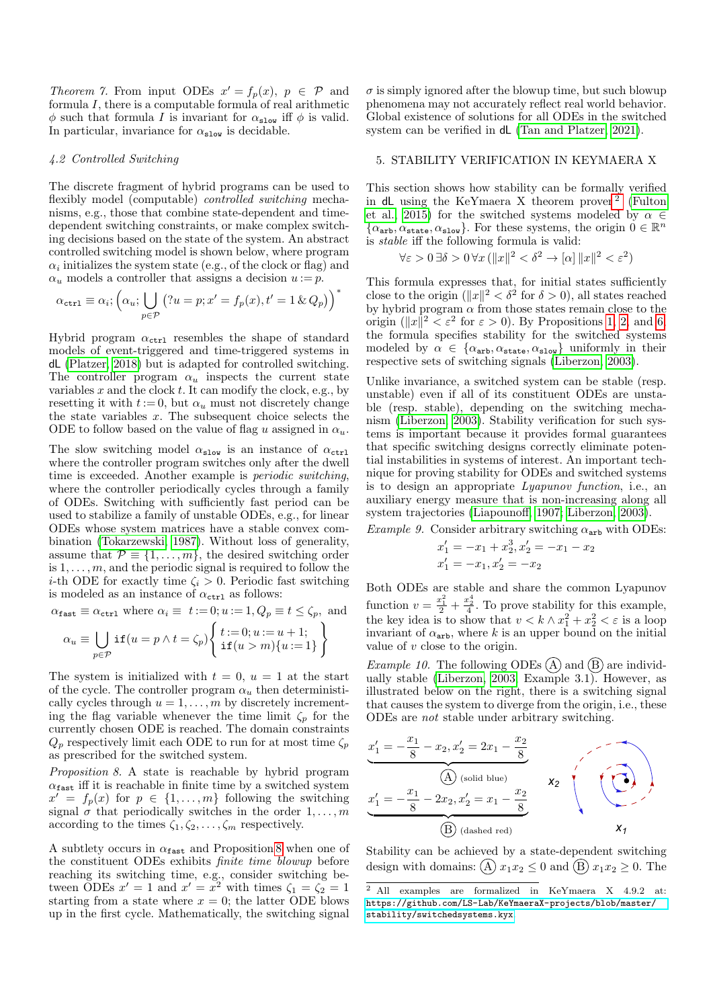Theorem 7. From input ODEs  $x' = f_p(x)$ ,  $p \in \mathcal{P}$  and formula I, there is a computable formula of real arithmetic  $\phi$  such that formula I is invariant for  $\alpha_{\rm slow}$  iff  $\phi$  is valid. In particular, invariance for  $\alpha_{\text{slow}}$  is decidable.

## <span id="page-4-1"></span>4.2 Controlled Switching

The discrete fragment of hybrid programs can be used to flexibly model (computable) *controlled switching* mechanisms, e.g., those that combine state-dependent and timedependent switching constraints, or make complex switching decisions based on the state of the system. An abstract controlled switching model is shown below, where program  $\alpha_i$  initializes the system state (e.g., of the clock or flag) and  $\alpha_u$  models a controller that assigns a decision  $u := p$ .

$$
\alpha_{\mathtt{ctrl}} \equiv \alpha_i; \left(\alpha_u; \bigcup_{p \in \mathcal{P}} (?u = p; x' = f_p(x), t' = 1 \& Q_p)\right)^*
$$

Hybrid program  $\alpha_{\text{ctrl}}$  resembles the shape of standard models of event-triggered and time-triggered systems in dL [\(Platzer, 2018\)](#page-5-1) but is adapted for controlled switching. The controller program  $\alpha_u$  inspects the current state variables  $x$  and the clock  $t$ . It can modify the clock, e.g., by resetting it with  $t := 0$ , but  $\alpha_u$  must not discretely change the state variables  $x$ . The subsequent choice selects the ODE to follow based on the value of flag u assigned in  $\alpha_u$ .

The slow switching model  $\alpha_{\text{slow}}$  is an instance of  $\alpha_{\text{ctrl}}$ where the controller program switches only after the dwell time is exceeded. Another example is periodic switching, where the controller periodically cycles through a family of ODEs. Switching with sufficiently fast period can be used to stabilize a family of unstable ODEs, e.g., for linear ODEs whose system matrices have a stable convex combination [\(Tokarzewski, 1987\)](#page-6-3). Without loss of generality, assume that  $\mathcal{P} \equiv \{1, \ldots, m\}$ , the desired switching order is  $1, \ldots, m$ , and the periodic signal is required to follow the i-th ODE for exactly time  $\zeta_i > 0$ . Periodic fast switching is modeled as an instance of  $\alpha_{\mathtt{ctrl}}$  as follows:

 $\alpha_{\mathtt{fast}} \equiv \alpha_{\mathtt{ctrl}}$  where  $\alpha_i \equiv \ t := 0; u := 1, Q_p \equiv t \leq \zeta_p,$  and

$$
\alpha_u \equiv \bigcup_{p \in \mathcal{P}} \mathbf{if}(u = p \land t = \zeta_p) \begin{cases} t := 0; u := u + 1; \\ \mathbf{if}(u > m) \{u := 1\} \end{cases}
$$

The system is initialized with  $t = 0$ ,  $u = 1$  at the start of the cycle. The controller program  $\alpha_u$  then deterministically cycles through  $u = 1, \ldots, m$  by discretely incrementing the flag variable whenever the time limit  $\zeta_p$  for the currently chosen ODE is reached. The domain constraints  $Q_p$  respectively limit each ODE to run for at most time  $\zeta_p$ as prescribed for the switched system.

Proposition 8. A state is reachable by hybrid program  $\alpha_{\texttt{fast}}$  iff it is reachable in finite time by a switched system  $x' = f_p(x)$  for  $p \in \{1, ..., m\}$  following the switching signal  $\sigma$  that periodically switches in the order  $1, \ldots, m$ according to the times  $\zeta_1, \zeta_2, \ldots, \zeta_m$  respectively.

A subtlety occurs in  $\alpha_{\text{fast}}$  and Proposition [8](#page-4-2) when one of the constituent ODEs exhibits finite time blowup before reaching its switching time, e.g., consider switching between ODEs  $x' = 1$  and  $x' = x^2$  with times  $\zeta_1 = \zeta_2 = 1$ starting from a state where  $x = 0$ ; the latter ODE blows up in the first cycle. Mathematically, the switching signal

 $\sigma$  is simply ignored after the blowup time, but such blowup phenomena may not accurately reflect real world behavior. Global existence of solutions for all ODEs in the switched system can be verified in dL [\(Tan and Platzer, 2021\)](#page-6-4).

#### <span id="page-4-0"></span>5. STABILITY VERIFICATION IN KEYMAERA X

This section shows how stability can be formally verified in  $dL$  using the KeYmaera X theorem prover<sup>[2](#page-4-3)</sup> [\(Fulton](#page-5-11) [et al., 2015\)](#page-5-11) for the switched systems modeled by  $\alpha \in$  $\{\alpha_{\text{arb}}, \alpha_{\text{state}}, \alpha_{\text{slow}}\}.$  For these systems, the origin  $0 \in \mathbb{R}^n$ is stable iff the following formula is valid:

$$
\forall \varepsilon > 0 \, \exists \delta > 0 \, \forall x \, (\|x\|^2 < \delta^2 \to [\alpha] \, \|x\|^2 < \varepsilon^2)
$$

This formula expresses that, for initial states sufficiently close to the origin  $(\Vert x \Vert^2 < \delta^2$  for  $\delta > 0$ ), all states reached by hybrid program  $\alpha$  from those states remain close to the origin ( $||x||^2 < \varepsilon^2$  for  $\varepsilon > 0$ ). By Propositions [1,](#page-2-2) [2,](#page-2-5) and [6,](#page-3-3) the formula specifies stability for the switched systems modeled by  $\alpha \in {\alpha_{\text{arb}}, \alpha_{\text{state}}, \alpha_{\text{slow}}}$  uniformly in their respective sets of switching signals [\(Liberzon, 2003\)](#page-5-0).

Unlike invariance, a switched system can be stable (resp. unstable) even if all of its constituent ODEs are unstable (resp. stable), depending on the switching mechanism [\(Liberzon, 2003\)](#page-5-0). Stability verification for such systems is important because it provides formal guarantees that specific switching designs correctly eliminate potential instabilities in systems of interest. An important technique for proving stability for ODEs and switched systems is to design an appropriate Lyapunov function, i.e., an auxiliary energy measure that is non-increasing along all system trajectories [\(Liapounoff, 1907;](#page-5-14) [Liberzon, 2003\)](#page-5-0).

<span id="page-4-4"></span>Example 9. Consider arbitrary switching  $\alpha_{\text{arb}}$  with ODEs:

$$
x'_1 = -x_1 + x_2^3, x'_2 = -x_1 - x_2
$$
  

$$
x'_1 = -x_1, x'_2 = -x_2
$$

Both ODEs are stable and share the common Lyapunov function  $v = \frac{x_1^2}{2} + \frac{x_2^4}{4}$ . To prove stability for this example, the key idea is to show that  $v < k \wedge x_1^2 + x_2^2 < \varepsilon$  is a loop invariant of  $\alpha_{\text{arb}}$ , where k is an upper bound on the initial value of  $v$  close to the origin.

 $Example~10.$  The following ODEs  $\bigcircled{\rm A}$  and  $\bigcircled{\rm B}$  are individually stable [\(Liberzon, 2003,](#page-5-0) Example 3.1). However, as illustrated below on the right, there is a switching signal that causes the system to diverge from the origin, i.e., these ODEs are not stable under arbitrary switching.

<span id="page-4-2"></span>
$$
x'_{1} = -\frac{x_{1}}{8} - x_{2}, x'_{2} = 2x_{1} - \frac{x_{2}}{8}
$$
\n(A) (solid blue)\n
$$
x'_{1} = -\frac{x_{1}}{8} - 2x_{2}, x'_{2} = x_{1} - \frac{x_{2}}{8}
$$
\n(B) (dashed red)\n
$$
x_{1}
$$

Stability can be achieved by a state-dependent switching design with domains:  $\widehat{A}$   $x_1x_2 \leq 0$  and  $\widehat{B}$   $x_1x_2 \geq 0$ . The

<span id="page-4-3"></span><sup>2</sup> All examples are formalized in KeYmaera X 4.9.2 at: [https://github.com/LS-Lab/KeYmaeraX-projects/blob/master/](https://github.com/LS-Lab/KeYmaeraX-projects/blob/master/stability/switchedsystems.kyx) [stability/switchedsystems.kyx](https://github.com/LS-Lab/KeYmaeraX-projects/blob/master/stability/switchedsystems.kyx).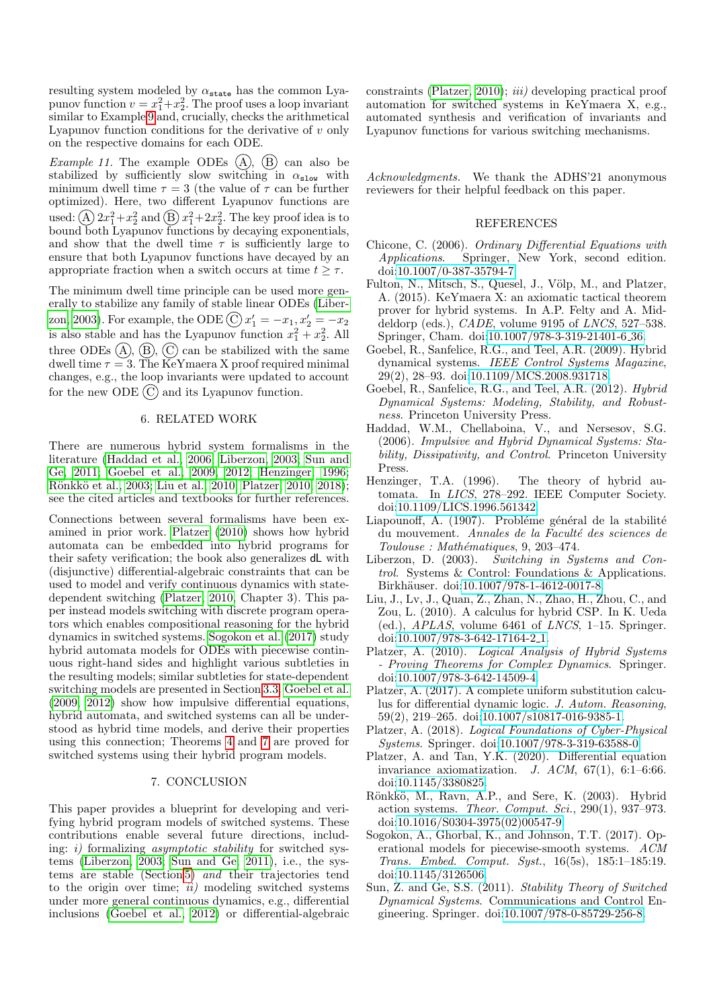resulting system modeled by  $\alpha_{\texttt{state}}$  has the common Lyapunov function  $v = x_1^2 + x_2^2$ . The proof uses a loop invariant similar to Example [9](#page-4-4) and, crucially, checks the arithmetical Lyapunov function conditions for the derivative of  $v$  only on the respective domains for each ODE.

*Example 11.* The example ODEs  $(A)$ ,  $(B)$  can also be stabilized by sufficiently slow switching in  $\alpha_{\text{slow}}$  with minimum dwell time  $\tau = 3$  (the value of  $\tau$  can be further optimized). Here, two different Lyapunov functions are used: (A)  $2x_1^2 + x_2^2$  and (B)  $x_1^2 + 2x_2^2$ . The key proof idea is to bound both Lyapunov functions by decaying exponentials, and show that the dwell time  $\tau$  is sufficiently large to ensure that both Lyapunov functions have decayed by an appropriate fraction when a switch occurs at time  $t > \tau$ .

The minimum dwell time principle can be used more generally to stabilize any family of stable linear ODEs [\(Liber](#page-5-0)[zon, 2003\)](#page-5-0). For example, the ODE  $\textcircled{C}$   $x'_1 = -x_1, x'_2 = -x_2$ is also stable and has the Lyapunov function  $x_1^2 + x_2^2$ . All three ODEs  $(A)$ ,  $(B)$ ,  $(C)$  can be stabilized with the same dwell time  $\tau = 3$ . The KeYmaera X proof required minimal changes, e.g., the loop invariants were updated to account for the new ODE  $\overline{C}$  and its Lyapunov function.

## 6. RELATED WORK

There are numerous hybrid system formalisms in the literature [\(Haddad et al., 2006;](#page-5-2) [Liberzon, 2003;](#page-5-0) [Sun and](#page-5-3) [Ge, 2011;](#page-5-3) [Goebel et al., 2009,](#page-5-4) [2012;](#page-5-5) [Henzinger, 1996;](#page-5-6) Rönkkö et al., 2003; [Liu et al., 2010;](#page-5-8) [Platzer, 2010,](#page-5-9) [2018\)](#page-5-1); see the cited articles and textbooks for further references.

Connections between several formalisms have been examined in prior work. [Platzer \(2010\)](#page-5-9) shows how hybrid automata can be embedded into hybrid programs for their safety verification; the book also generalizes dL with (disjunctive) differential-algebraic constraints that can be used to model and verify continuous dynamics with statedependent switching [\(Platzer, 2010,](#page-5-9) Chapter 3). This paper instead models switching with discrete program operators which enables compositional reasoning for the hybrid dynamics in switched systems. [Sogokon et al. \(2017\)](#page-5-13) study hybrid automata models for ODEs with piecewise continuous right-hand sides and highlight various subtleties in the resulting models; similar subtleties for state-dependent switching models are presented in Section [3.3.](#page-2-6) [Goebel et al.](#page-5-4) [\(2009,](#page-5-4) [2012\)](#page-5-5) show how impulsive differential equations, hybrid automata, and switched systems can all be understood as hybrid time models, and derive their properties using this connection; Theorems [4](#page-2-4) and [7](#page-3-4) are proved for switched systems using their hybrid program models.

# 7. CONCLUSION

This paper provides a blueprint for developing and verifying hybrid program models of switched systems. These contributions enable several future directions, including:  $i)$  formalizing *asymptotic stability* for switched systems [\(Liberzon, 2003;](#page-5-0) [Sun and Ge, 2011\)](#page-5-3), i.e., the systems are stable (Section [5\)](#page-4-0) and their trajectories tend to the origin over time;  $ii)$  modeling switched systems under more general continuous dynamics, e.g., differential inclusions [\(Goebel et al., 2012\)](#page-5-5) or differential-algebraic constraints [\(Platzer, 2010\)](#page-5-9); iii) developing practical proof automation for switched systems in KeYmaera X, e.g., automated synthesis and verification of invariants and Lyapunov functions for various switching mechanisms.

Acknowledgments. We thank the ADHS'21 anonymous reviewers for their helpful feedback on this paper.

#### REFERENCES

- <span id="page-5-15"></span>Chicone, C. (2006). Ordinary Differential Equations with Applications. Springer, New York, second edition. doi[:10.1007/0-387-35794-7.](https://doi.org/10.1007/0-387-35794-7)
- <span id="page-5-11"></span>Fulton, N., Mitsch, S., Quesel, J., Völp, M., and Platzer, A. (2015). KeYmaera X: an axiomatic tactical theorem prover for hybrid systems. In A.P. Felty and A. Middeldorp (eds.),  $CADE$ , volume 9195 of  $LNCS$ , 527–538. Springer, Cham. doi[:10.1007/978-3-319-21401-6](https://doi.org/10.1007/978-3-319-21401-6_36) 36.
- <span id="page-5-4"></span>Goebel, R., Sanfelice, R.G., and Teel, A.R. (2009). Hybrid dynamical systems. IEEE Control Systems Magazine, 29(2), 28–93. doi[:10.1109/MCS.2008.931718.](https://doi.org/10.1109/MCS.2008.931718)
- <span id="page-5-5"></span>Goebel, R., Sanfelice, R.G., and Teel, A.R. (2012). Hybrid Dynamical Systems: Modeling, Stability, and Robustness. Princeton University Press.
- <span id="page-5-2"></span>Haddad, W.M., Chellaboina, V., and Nersesov, S.G. (2006). Impulsive and Hybrid Dynamical Systems: Stability, Dissipativity, and Control. Princeton University Press.
- <span id="page-5-6"></span>Henzinger, T.A. (1996). The theory of hybrid automata. In LICS, 278–292. IEEE Computer Society. doi[:10.1109/LICS.1996.561342.](https://doi.org/10.1109/LICS.1996.561342)
- <span id="page-5-14"></span>Liapounoff, A. (1907). Probléme général de la stabilité du mouvement. Annales de la Faculté des sciences de  $Toulouse: Mathématiques, 9, 203–474.$
- <span id="page-5-0"></span>Liberzon, D. (2003). Switching in Systems and Control. Systems & Control: Foundations & Applications. Birkhäuser. doi[:10.1007/978-1-4612-0017-8.](https://doi.org/10.1007/978-1-4612-0017-8)
- <span id="page-5-8"></span>Liu, J., Lv, J., Quan, Z., Zhan, N., Zhao, H., Zhou, C., and Zou, L. (2010). A calculus for hybrid CSP. In K. Ueda (ed.),  $APLAS$ , volume 6461 of *LNCS*, 1–15. Springer. doi[:10.1007/978-3-642-17164-2](https://doi.org/10.1007/978-3-642-17164-2_1) 1.
- <span id="page-5-9"></span>Platzer, A. (2010). Logical Analysis of Hybrid Systems - Proving Theorems for Complex Dynamics. Springer. doi[:10.1007/978-3-642-14509-4.](https://doi.org/10.1007/978-3-642-14509-4)
- <span id="page-5-12"></span>Platzer, A. (2017). A complete uniform substitution calculus for differential dynamic logic. J. Autom. Reasoning, 59(2), 219–265. doi[:10.1007/s10817-016-9385-1.](https://doi.org/10.1007/s10817-016-9385-1)
- <span id="page-5-1"></span>Platzer, A. (2018). Logical Foundations of Cyber-Physical Systems. Springer. doi[:10.1007/978-3-319-63588-0.](https://doi.org/10.1007/978-3-319-63588-0)
- <span id="page-5-10"></span>Platzer, A. and Tan, Y.K. (2020). Differential equation invariance axiomatization. J.  $ACM$ ,  $67(1)$ ,  $6:1-6:66$ . doi[:10.1145/3380825.](https://doi.org/10.1145/3380825)
- <span id="page-5-7"></span>Rönkkö, M., Ravn, A.P., and Sere, K. (2003). Hybrid action systems. Theor. Comput. Sci.,  $290(1)$ ,  $937-973$ . doi[:10.1016/S0304-3975\(02\)00547-9.](https://doi.org/10.1016/S0304-3975(02)00547-9)
- <span id="page-5-13"></span>Sogokon, A., Ghorbal, K., and Johnson, T.T. (2017). Operational models for piecewise-smooth systems. ACM Trans. Embed. Comput. Syst., 16(5s), 185:1–185:19. doi[:10.1145/3126506.](https://doi.org/10.1145/3126506)
- <span id="page-5-3"></span>Sun, Z. and Ge, S.S. (2011). Stability Theory of Switched Dynamical Systems. Communications and Control Engineering. Springer. doi[:10.1007/978-0-85729-256-8.](https://doi.org/10.1007/978-0-85729-256-8)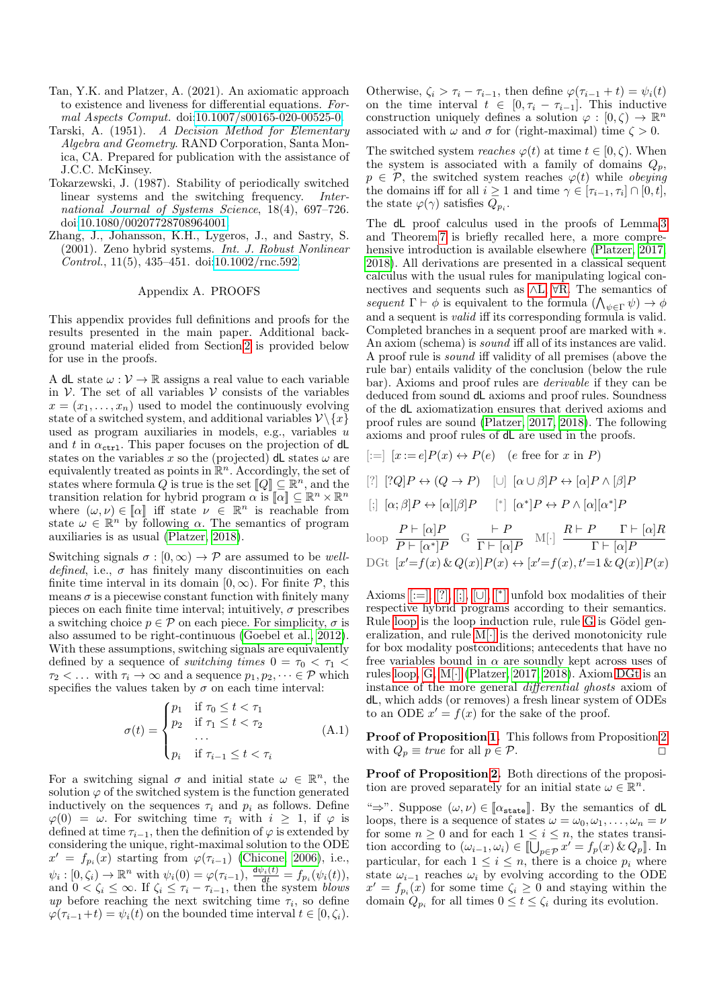- <span id="page-6-4"></span>Tan, Y.K. and Platzer, A. (2021). An axiomatic approach to existence and liveness for differential equations. Formal Aspects Comput. doi[:10.1007/s00165-020-00525-0.](https://doi.org/10.1007/s00165-020-00525-0)
- <span id="page-6-1"></span>Tarski, A. (1951). A Decision Method for Elementary Algebra and Geometry. RAND Corporation, Santa Monica, CA. Prepared for publication with the assistance of J.C.C. McKinsey.
- <span id="page-6-3"></span>Tokarzewski, J. (1987). Stability of periodically switched linear systems and the switching frequency. International Journal of Systems Science, 18(4), 697–726. doi[:10.1080/00207728708964001.](https://doi.org/10.1080/00207728708964001)
- <span id="page-6-2"></span>Zhang, J., Johansson, K.H., Lygeros, J., and Sastry, S. (2001). Zeno hybrid systems. Int. J. Robust Nonlinear Control., 11(5), 435–451. doi[:10.1002/rnc.592.](https://doi.org/10.1002/rnc.592)

#### Appendix A. PROOFS

<span id="page-6-0"></span>This appendix provides full definitions and proofs for the results presented in the main paper. Additional background material elided from Section [2](#page-0-0) is provided below for use in the proofs.

A dL state  $\omega: \mathcal{V} \to \mathbb{R}$  assigns a real value to each variable in  $V$ . The set of all variables  $V$  consists of the variables  $x = (x_1, \ldots, x_n)$  used to model the continuously evolving state of a switched system, and additional variables  $\mathcal{V}\backslash\{x\}$ used as program auxiliaries in models, e.g., variables u and t in  $\alpha_{\text{ctrl}}$ . This paper focuses on the projection of dL states on the variables x so the (projected) dL states  $\omega$  are equivalently treated as points in  $\mathbb{R}^n$ . Accordingly, the set of states where formula Q is true is the set  $[Q] \subseteq \mathbb{R}^n$ , and the transition relation for hybrid program  $\alpha \text{ is } \llbracket \alpha \rrbracket \subseteq \mathbb{R}^n \times \mathbb{R}^n$ where  $(\omega, \nu) \in [\![\alpha]\!]$  iff state  $\nu \in \mathbb{R}^n$  is reachable from state  $\omega \in \mathbb{R}^n$  by following  $\alpha$ . The semantics of program auxiliaries is as usual [\(Platzer, 2018\)](#page-5-1).

Switching signals  $\sigma : [0, \infty) \to \mathcal{P}$  are assumed to be welldefined, i.e.,  $\sigma$  has finitely many discontinuities on each finite time interval in its domain  $[0, \infty)$ . For finite  $P$ , this means  $\sigma$  is a piecewise constant function with finitely many pieces on each finite time interval; intuitively,  $\sigma$  prescribes a switching choice  $p \in \mathcal{P}$  on each piece. For simplicity,  $\sigma$  is also assumed to be right-continuous [\(Goebel et al., 2012\)](#page-5-5). With these assumptions, switching signals are equivalently defined by a sequence of *switching times*  $0 = \tau_0 < \tau_1$  $\tau_2 < \ldots$  with  $\tau_i \to \infty$  and a sequence  $p_1, p_2, \ldots \in \mathcal{P}$  which specifies the values taken by  $\sigma$  on each time interval:

$$
\sigma(t) = \begin{cases} p_1 & \text{if } \tau_0 \leq t < \tau_1 \\ p_2 & \text{if } \tau_1 \leq t < \tau_2 \\ \dots & \dots \\ p_i & \text{if } \tau_{i-1} \leq t < \tau_i \end{cases} \tag{A.1}
$$

For a switching signal  $\sigma$  and initial state  $\omega \in \mathbb{R}^n$ , the solution  $\varphi$  of the switched system is the function generated inductively on the sequences  $\tau_i$  and  $p_i$  as follows. Define  $\varphi(0) = \omega$ . For switching time  $\tau_i$  with  $i > 1$ , if  $\varphi$  is defined at time  $\tau_{i-1}$ , then the definition of  $\varphi$  is extended by considering the unique, right-maximal solution to the ODE  $x' = f_{p_i}(\tilde{x})$  starting from  $\varphi(\tau_{i-1})$  [\(Chicone, 2006\)](#page-5-15), i.e.,  $\psi_i: [0, \zeta_i) \to \mathbb{R}^n$  with  $\psi_i(0) = \varphi(\tau_{i-1}), \frac{d\psi_i(t)}{dt} = f_{p_i}(\psi_i(t)),$ and  $0 < \zeta_i \leq \infty$ . If  $\zeta_i \leq \tau_i - \tau_{i-1}$ , then the system blows up before reaching the next switching time  $\tau_i$ , so define  $\varphi(\tau_{i-1}+t) = \psi_i(t)$  on the bounded time interval  $t \in [0, \zeta_i)$ .

Otherwise,  $\zeta_i > \tau_i - \tau_{i-1}$ , then define  $\varphi(\tau_{i-1} + t) = \psi_i(t)$ on the time interval  $t \in [0, \tau_i - \tau_{i-1}]$ . This inductive construction uniquely defines a solution  $\varphi : [0, \zeta) \to \mathbb{R}^n$ associated with  $\omega$  and  $\sigma$  for (right-maximal) time  $\zeta > 0$ .

The switched system reaches  $\varphi(t)$  at time  $t \in [0, \zeta)$ . When the system is associated with a family of domains  $Q_p$ ,  $p \in \mathcal{P}$ , the switched system reaches  $\varphi(t)$  while *obeying* the domains iff for all  $i \geq 1$  and time  $\gamma \in [\tau_{i-1}, \tau_i] \cap [0, t],$ the state  $\varphi(\gamma)$  satisfies  $Q_{p_i}$ .

The dL proof calculus used in the proofs of Lemma [3](#page-2-3) and Theorem [7](#page-3-4) is briefly recalled here, a more compre-hensive introduction is available elsewhere [\(Platzer, 2017,](#page-5-12) [2018\)](#page-5-1). All derivations are presented in a classical sequent calculus with the usual rules for manipulating logical connectives and sequents such as ∧[L,](#page-6-5) ∀[R.](#page-6-5) The semantics of sequent  $\Gamma \vdash \phi$  is equivalent to the formula  $(\bigwedge_{\psi \in \Gamma} \psi) \to \phi$ and a sequent is valid iff its corresponding formula is valid. Completed branches in a sequent proof are marked with ∗. An axiom (schema) is sound iff all of its instances are valid. A proof rule is sound iff validity of all premises (above the rule bar) entails validity of the conclusion (below the rule bar). Axioms and proof rules are derivable if they can be deduced from sound dL axioms and proof rules. Soundness of the dL axiomatization ensures that derived axioms and proof rules are sound [\(Platzer, 2017,](#page-5-12) [2018\)](#page-5-1). The following axioms and proof rules of dL are used in the proofs.

<span id="page-6-6"></span>
$$
[:=] [x := e]P(x) \leftrightarrow P(e) \quad (e \text{ free for } x \text{ in } P)
$$

$$
[?] [?Q]P \leftrightarrow (Q \rightarrow P) \quad [\cup] [\alpha \cup \beta]P \leftrightarrow [\alpha]P \wedge [\beta]P
$$

<span id="page-6-10"></span><span id="page-6-9"></span><span id="page-6-7"></span>
$$
[;] [\alpha; \beta]P \leftrightarrow [\alpha][\beta]P \quad [^*] [\alpha^*]P \leftrightarrow P \wedge [\alpha][\alpha^*]P
$$

<span id="page-6-13"></span><span id="page-6-12"></span><span id="page-6-11"></span><span id="page-6-8"></span>loop 
$$
\frac{P \vdash [\alpha]P}{P \vdash [\alpha^*]P}
$$
 G  $\frac{\vdash P}{\Gamma \vdash [\alpha]P}$  M[·]  $\frac{R \vdash P \qquad \Gamma \vdash [\alpha]R}{\Gamma \vdash [\alpha]P}$   
DGt  $[x'=f(x) \& Q(x)]P(x) \leftrightarrow [x'=f(x), t'=1 \& Q(x)]P(x)$ 

<span id="page-6-14"></span><span id="page-6-5"></span>Axioms  $[:=], [?,], [], [ \cup ], [^*]$  $[:=], [?,], [], [ \cup ], [^*]$  $[:=], [?,], [], [ \cup ], [^*]$  unfold box modalities of their respective hybrid programs according to their semantics. Rule [loop](#page-6-11) is the loop induction rule, rule [G](#page-6-12) is Gödel generalization, and rule  $M[\cdot]$  is the derived monotonicity rule for box modality postconditions; antecedents that have no free variables bound in  $\alpha$  are soundly kept across uses of rules [loop,](#page-6-11) [G,](#page-6-12) [M\[](#page-6-13)·] [\(Platzer, 2017,](#page-5-12) [2018\)](#page-5-1). Axiom [DGt](#page-6-14) is an instance of the more general differential ghosts axiom of dL, which adds (or removes) a fresh linear system of ODEs to an ODE  $x' = f(x)$  for the sake of the proof.

<span id="page-6-15"></span>Proof of Proposition [1.](#page-2-2) This follows from Proposition [2](#page-2-5) with  $Q_p \equiv true$  for all  $p \in \mathcal{P}$ .

Proof of Proposition [2.](#page-2-5) Both directions of the proposition are proved separately for an initial state  $\omega \in \mathbb{R}^n$ .

" $\Rightarrow$ ". Suppose  $(\omega, \nu) \in [\alpha_{\text{state}}]$ . By the semantics of dL loops, there is a sequence of states  $\omega = \omega_0, \omega_1, \ldots, \omega_n = \nu$ for some  $n \geq 0$  and for each  $1 \leq i \leq n$ , the states transition according to  $(\omega_{i-1}, \omega_i) \in [\bigcup_{p \in \mathcal{P}} x' = f_p(x) \& Q_p].$  In particular, for each  $1 \leq i \leq n$ , there is a choice  $p_i$  where state  $\omega_{i-1}$  reaches  $\omega_i$  by evolving according to the ODE  $x' = f_{p_i}(x)$  for some time  $\zeta_i \geq 0$  and staying within the domain  $Q_{p_i}$  for all times  $0 \le t \le \zeta_i$  during its evolution.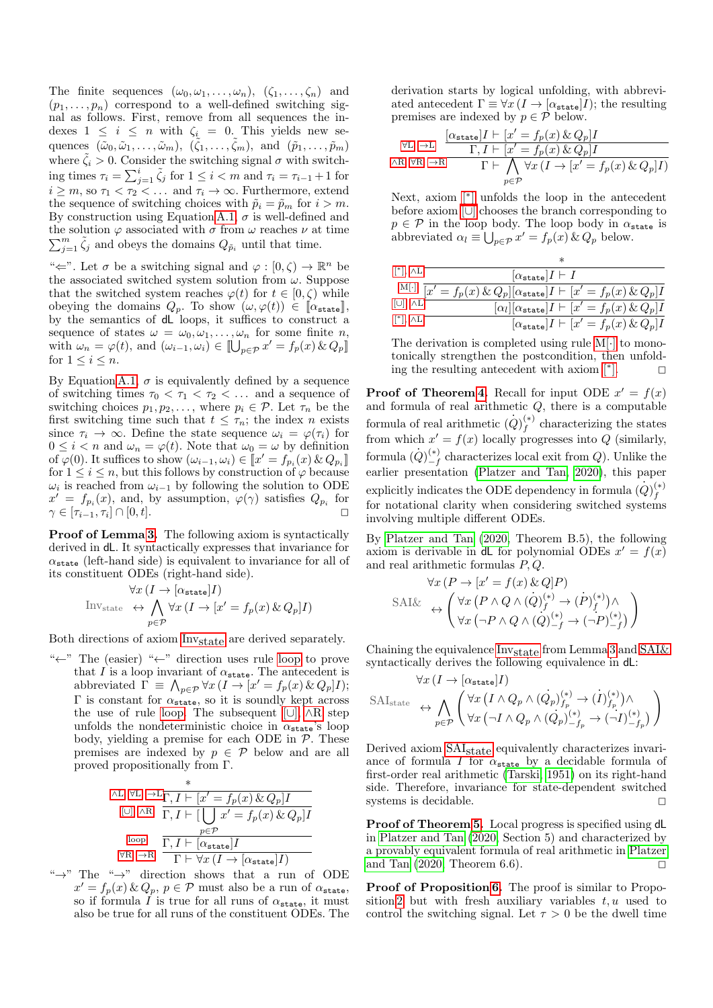The finite sequences  $(\omega_0, \omega_1, \ldots, \omega_n)$ ,  $(\zeta_1, \ldots, \zeta_n)$  and  $(p_1, \ldots, p_n)$  correspond to a well-defined switching signal as follows. First, remove from all sequences the indexes  $1 \leq i \leq n$  with  $\zeta_i = 0$ . This yields new sequences  $(\tilde{\omega}_0, \tilde{\omega}_1, \ldots, \tilde{\omega}_m), (\tilde{\zeta}_1, \ldots, \tilde{\zeta}_m),$  and  $(\tilde{p}_1, \ldots, \tilde{p}_m)$ where  $\zeta_i > 0$ . Consider the switching signal  $\sigma$  with switching times  $\tau_i = \sum_{j=1}^i \tilde{\zeta}_j$  for  $1 \leq i < m$  and  $\tau_i = \tau_{i-1} + 1$  for  $i \geq m$ , so  $\tau_1 < \tau_2 < \ldots$  and  $\tau_i \to \infty$ . Furthermore, extend the sequence of switching choices with  $\tilde{p}_i = \tilde{p}_m$  for  $i > m$ . By construction using Equation [A.1,](#page-6-15)  $\sigma$  is well-defined and the solution  $\varphi$  associated with  $\sigma$  from  $\omega$  reaches  $\nu$  at time  $\sum_{j=1}^{m} \tilde{\zeta}_j$  and obeys the domains  $Q_{\tilde{p}_i}$  until that time.

" $\Leftarrow$ ". Let  $\sigma$  be a switching signal and  $\varphi : [0, \zeta) \to \mathbb{R}^n$  be the associated switched system solution from  $\omega$ . Suppose that the switched system reaches  $\varphi(t)$  for  $t \in [0, \zeta)$  while obeying the domains  $Q_p$ . To show  $(\omega, \varphi(t)) \in [\![\alpha_{\text{state}}]\!]$ , by the semantics of dL loops, it suffices to construct a sequence of states  $\omega = \omega_0, \omega_1, \ldots, \omega_n$  for some finite *n*, with  $\omega_n = \varphi(t)$ , and  $(\omega_{i-1}, \omega_i) \in \llbracket \bigcup_{p \in \mathcal{P}} x' = f_p(x) \& Q_p \rrbracket$ for  $1 \leq i \leq n$ .

By Equation [A.1,](#page-6-15)  $\sigma$  is equivalently defined by a sequence of switching times  $\tau_0 < \tau_1 < \tau_2 < \ldots$  and a sequence of switching choices  $p_1, p_2, \ldots$ , where  $p_i \in \mathcal{P}$ . Let  $\tau_n$  be the first switching time such that  $t \leq \tau_n$ ; the index n exists since  $\tau_i \to \infty$ . Define the state sequence  $\omega_i = \varphi(\tau_i)$  for  $0 \leq i < n$  and  $\omega_n = \varphi(t)$ . Note that  $\omega_0 = \omega$  by definition of  $\varphi(0)$ . It suffices to show  $(\omega_{i-1}, \omega_i) \in [x' = f_{p_i}(x) \& Q_{p_i}]$ for  $1 \leq i \leq n$ , but this follows by construction of  $\varphi$  because  $\omega_i$  is reached from  $\omega_{i-1}$  by following the solution to ODE  $x' = f_{p_i}(x)$ , and, by assumption,  $\varphi(\gamma)$  satisfies  $Q_{p_i}$  for  $\gamma \in [\tau_{i-1}, \tau_i] \cap [0, t].$ 

Proof of Lemma [3.](#page-2-3) The following axiom is syntactically derived in dL. It syntactically expresses that invariance for  $\alpha_{\text{state}}$  (left-hand side) is equivalent to invariance for all of its constituent ODEs (right-hand side).

<span id="page-7-0"></span>
$$
\forall x (I \to [\alpha_{\text{state}}]I)
$$
  
Inv<sub>state</sub>  $\leftrightarrow \bigwedge_{p \in \mathcal{P}} \forall x (I \to [x' = f_p(x) \& Q_p]I)$ 

Both directions of axiom  $Inv<sub>state</sub>$  are derived separately.

" $\leftarrow$ " The (easier) " $\leftarrow$ " direction uses rule [loop](#page-6-11) to prove that I is a loop invariant of  $\alpha_{\texttt{state}}$ . The antecedent is abbreviated  $\overline{\Gamma} \equiv \bigwedge_{p \in \mathcal{P}} \forall x \left( I \to [x' = f_p(x) \& Q_p] I \right);$ Γ is constant for  $\alpha_{\text{state}}$ , so it is soundly kept across the use of rule [loop.](#page-6-11) The subsequent [[∪](#page-6-9)], ∧[R](#page-6-5) step unfolds the nondeterministic choice in  $\alpha_{\texttt{state}}$ 's loop body, yielding a premise for each ODE in  $P$ . These premises are indexed by  $p \in \mathcal{P}$  below and are all proved propositionally from Γ.

$$
\begin{array}{c} \wedge \mathbf{L}, \, \forall \mathbf{L}, \, \rightarrow \mathbf{L} \dfrac{*}{\Gamma, I \vdash [x' = f_p(x) \, \& \, Q_p]I} \\ \textbf{[U], \, \, \wedge \mathbf{R}} \quad \overline{\Gamma, I \vdash [\bigcup_{p \in \mathcal{P}} x' = f_p(x) \, \& \, Q_p]I} \\ \textbf{loop} \quad \overline{\Gamma, I \vdash [\alpha_{\footnotesize \text{state}}]I} \\ \forall \mathbf{R}, \, \rightarrow \mathbf{R} \quad \overline{\Gamma \vdash \forall x \, (I \rightarrow [\alpha_{\footnotesize \text{state}}]I)} \end{array}
$$

" $\rightarrow$ " The " $\rightarrow$ " direction shows that a run of ODE  $x' = f_p(x) \& Q_p, p \in \mathcal{P}$  must also be a run of  $\alpha_{\text{state}},$ so if formula I is true for all runs of  $\alpha_{\text{state}}$ , it must also be true for all runs of the constituent ODEs. The

derivation starts by logical unfolding, with abbreviated antecedent  $\Gamma \equiv \forall x (I \to [\alpha_{\text{state}}]I)$ ; the resulting premises are indexed by  $p \in \mathcal{P}$  below.

$$
\forall L, \, \mathop{\to}\limits L \, \begin{array}{c} \frac{[\alpha_{\texttt{state}}]I \vdash [x' = f_p(x) \, \&\, Q_p]I}{\Gamma, I \vdash [x' = f_p(x) \, \&\, Q_p]I} \\ \wedge \texttt{R}, \, \forall \texttt{R}, \, \mathop{\to}\limits \texttt{R} \, \begin{array}{c} \hline \\ \hline \end{array} \, \Gamma \vdash \bigwedge_{p \in \mathcal{P}} \forall x \, (I \rightarrow [x' = f_p(x) \, \&\, Q_p]I) \end{array}
$$

Next, axiom [\[](#page-6-10)<sup>∗</sup> ] unfolds the loop in the antecedent before axiom [\[](#page-6-9)∪] chooses the branch corresponding to  $p \in \mathcal{P}$  in the loop body. The loop body in  $\alpha_{\text{state}}$  is abbreviated  $\alpha_l \equiv \bigcup_{p \in \mathcal{P}} x' = f_p(x) \& Q_p$  below.

|                                          | ∗                                                                                                 |
|------------------------------------------|---------------------------------------------------------------------------------------------------|
| $[^{*}]$ , $\wedge$ L                    | $[\alpha_{\mathtt{state}}]I \vdash I$                                                             |
|                                          | $\mathbb{M}[\cdot]$ $\overline{[x'-f_p(x)\&Q_p]}[\alpha_{\text{state}}]I\vdash [x'-f_p(x)\&Q_p]I$ |
| $[\cup], \wedge$ L                       | $[\alpha_l][\alpha_{\text{state}}]I \vdash [x' = f_p(x) \& Q_p]I$                                 |
| $\lceil$ <sup>*</sup> $\rceil, \Delta L$ | $[\alpha_{\text{state}}]I \vdash [x' = f_p(x) \& Q_p]I$                                           |

The derivation is completed using rule [M\[](#page-6-13)·] to monotonically strengthen the postcondition, then unfolding the resulting antecedent with axiom [\[](#page-6-10)<sup>∗</sup>  $\Box$ 

**Proof of Theorem [4.](#page-2-4)** Recall for input ODE  $x' = f(x)$ and formula of real arithmetic  $Q$ , there is a computable formula of real arithmetic  $(Q)_{f}^{(*)}$  $f_f^{(*)}$  characterizing the states from which  $x' = f(x)$  locally progresses into Q (similarly, formula  $(\dot{Q})_{-t}^{(*)}$  $\binom{(*)}{-f}$  characterizes local exit from Q). Unlike the earlier presentation [\(Platzer and Tan, 2020\)](#page-5-10), this paper explicitly indicates the ODE dependency in formula  $(Q)_{f}^{(*)}$ f for notational clarity when considering switched systems involving multiple different ODEs.

By [Platzer and Tan \(2020,](#page-5-10) Theorem B.5), the following axiom is derivable in dL for polynomial ODEs  $x' = f(x)$ and real arithmetic formulas  $P, Q$ .

<span id="page-7-1"></span>
$$
\forall x (P \to [x' = f(x) \& Q]P)
$$
  

$$
\leftrightarrow \left( \forall x (P \land Q \land (Q)'_f^* \to (P)'_f^*) \land \forall x (\neg P \land Q \land (Q)'_{-f}^* \to (\neg P)^{(*)}_{-f}) \right)
$$

Chaining the equivalence  $\text{Inv}_{\text{state}}$  from Lemma [3](#page-2-3) and [SAI&](#page-7-1) syntactically derives the following equivalence in dL:

<span id="page-7-2"></span>
$$
\forall x (I \to [\alpha_{\text{state}}]I)
$$
  

$$
SAI_{\text{state}} \leftrightarrow \bigwedge_{p \in \mathcal{P}} \left( \forall x (I \wedge Q_p \wedge (Q_p)_{f_p}^{(*)} \to (I)_{f_p}^{(*)}) \wedge \right)
$$

Derived axiom  $\text{SAI}_{\text{state}}$  equivalently characterizes invariance of formula I for  $\alpha_{\text{state}}$  by a decidable formula of first-order real arithmetic [\(Tarski, 1951\)](#page-6-1) on its right-hand side. Therefore, invariance for state-dependent switched systems is decidable.  $\hfill \square$ 

Proof of Theorem [5.](#page-3-2) Local progress is specified using dL in [Platzer and Tan \(2020,](#page-5-10) Section 5) and characterized by a provably equivalent formula of real arithmetic in [Platzer](#page-5-10) and Tan  $(2020,$  Theorem 6.6).

Proof of Proposition [6.](#page-3-3) The proof is similar to Propo-sition [2](#page-2-5) but with fresh auxiliary variables  $t, u$  used to control the switching signal. Let  $\tau > 0$  be the dwell time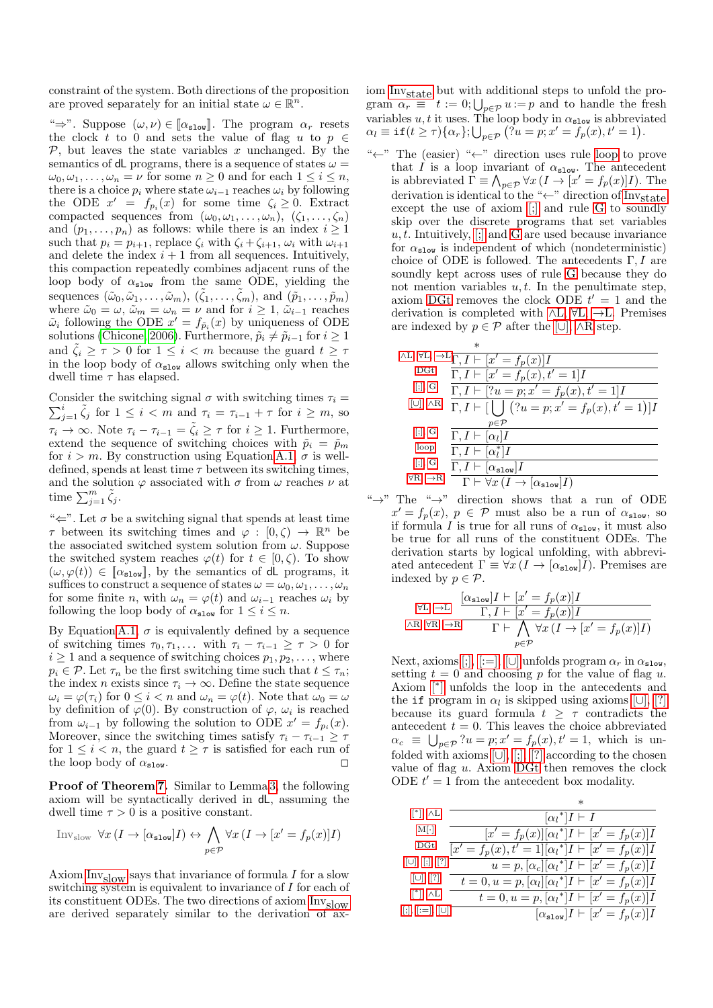constraint of the system. Both directions of the proposition are proved separately for an initial state  $\omega \in \mathbb{R}^n$ .

" $\Rightarrow$ ". Suppose  $(\omega, \nu) \in [\alpha_{\text{slow}}]$ . The program  $\alpha_r$  resets the clock t to 0 and sets the value of flag u to  $p \in$  $P$ , but leaves the state variables x unchanged. By the semantics of dL programs, there is a sequence of states  $\omega =$  $\omega_0, \omega_1, \ldots, \omega_n = \nu$  for some  $n \geq 0$  and for each  $1 \leq i \leq n$ , there is a choice  $p_i$  where state  $\omega_{i-1}$  reaches  $\omega_i$  by following the ODE  $x' = f_{p_i}(x)$  for some time  $\zeta_i \geq 0$ . Extract compacted sequences from  $(\omega_0, \omega_1, \ldots, \omega_n)$ ,  $(\zeta_1, \ldots, \zeta_n)$ and  $(p_1, \ldots, p_n)$  as follows: while there is an index  $i \geq 1$ such that  $p_i = p_{i+1}$ , replace  $\zeta_i$  with  $\zeta_i + \zeta_{i+1}, \omega_i$  with  $\omega_{i+1}$ and delete the index  $i + 1$  from all sequences. Intuitively, this compaction repeatedly combines adjacent runs of the loop body of  $\alpha_{\text{slow}}$  from the same ODE, yielding the sequences  $(\tilde{\omega}_0, \tilde{\omega}_1, \ldots, \tilde{\omega}_m), (\tilde{\zeta}_1, \ldots, \tilde{\zeta}_m),$  and  $(\tilde{p}_1, \ldots, \tilde{p}_m)$ where  $\tilde{\omega}_0 = \omega$ ,  $\tilde{\omega}_m = \omega_n = \nu$  and for  $i \geq 1$ ,  $\tilde{\omega}_{i-1}$  reaches  $\tilde{\omega}_i$  following the ODE  $x' = f_{\tilde{p}_i}(x)$  by uniqueness of ODE solutions [\(Chicone, 2006\)](#page-5-15). Furthermore,  $\tilde{p}_i \neq \tilde{p}_{i-1}$  for  $i \geq 1$ and  $\zeta_i \geq \tau > 0$  for  $1 \leq i < m$  because the guard  $t \geq \tau$ in the loop body of  $\alpha_{\tt slow}$  allows switching only when the dwell time  $\tau$  has elapsed.

Consider the switching signal  $\sigma$  with switching times  $\tau_i =$ Consider the switching signal  $\sigma$  with switching times  $\tau_i = \sum_{j=1}^i \tilde{\zeta}_j$  for  $1 \leq i < m$  and  $\tau_i = \tau_{i-1} + \tau$  for  $i \geq m$ , so  $\tau_i \to \infty$ . Note  $\tau_i - \tau_{i-1} = \tilde{\zeta}_i \geq \tau$  for  $i \geq 1$ . Furthermore, extend the sequence of switching choices with  $\tilde{p}_i = \tilde{p}_m$ for  $i > m$ . By construction using Equation [A.1,](#page-6-15)  $\sigma$  is welldefined, spends at least time  $\tau$  between its switching times, and the solution  $\varphi$  associated with  $\sigma$  from  $\omega$  reaches  $\nu$  at time  $\sum_{j=1}^m \tilde{\zeta}_j$ .

" $\Leftarrow$ ". Let  $\sigma$  be a switching signal that spends at least time  $\tau$  between its switching times and  $\varphi : [0,\zeta) \to \mathbb{R}^n$  be the associated switched system solution from  $\omega$ . Suppose the switched system reaches  $\varphi(t)$  for  $t \in [0,\zeta)$ . To show  $(\omega, \varphi(t)) \in [\alpha_{\text{slow}}],$  by the semantics of dL programs, it suffices to construct a sequence of states  $\omega = \omega_0, \omega_1, \ldots, \omega_n$ for some finite *n*, with  $\omega_n = \varphi(t)$  and  $\omega_{i-1}$  reaches  $\omega_i$  by following the loop body of  $\alpha_{\texttt{slow}}$  for  $1 \leq i \leq n$ .

By Equation [A.1,](#page-6-15)  $\sigma$  is equivalently defined by a sequence of switching times  $\tau_0, \tau_1, \ldots$  with  $\tau_i - \tau_{i-1} \geq \tau > 0$  for  $i \geq 1$  and a sequence of switching choices  $p_1, p_2, \ldots$ , where  $p_i \in \mathcal{P}$ . Let  $\tau_n$  be the first switching time such that  $t \leq \tau_n$ ; the index *n* exists since  $\tau_i \to \infty$ . Define the state sequence  $\omega_i = \varphi(\tau_i)$  for  $0 \leq i < n$  and  $\omega_n = \varphi(t)$ . Note that  $\omega_0 = \omega$ by definition of  $\varphi(0)$ . By construction of  $\varphi$ ,  $\omega_i$  is reached from  $\omega_{i-1}$  by following the solution to ODE  $x' = f_{p_i}(x)$ . Moreover, since the switching times satisfy  $\tau_i - \tau_{i-1} \geq \tau$ for  $1 \leq i < n$ , the guard  $t \geq \tau$  is satisfied for each run of the loop body of  $\alpha_{\text{slow}}$ .

Proof of Theorem [7.](#page-3-4) Similar to Lemma [3,](#page-2-3) the following axiom will be syntactically derived in dL, assuming the dwell time  $\tau > 0$  is a positive constant.

<span id="page-8-0"></span>
$$
\text{Inv}_{\text{slow}} \ \forall x \ (I \to [\alpha_{\text{slow}}]I) \leftrightarrow \bigwedge_{p \in \mathcal{P}} \forall x \ (I \to [x' = f_p(x)]I)
$$

Axiom  $\text{Inv}_{\text{slow}}$  says that invariance of formula I for a slow switching system is equivalent to invariance of I for each of its constituent ODEs. The two directions of axiom [Invslow](#page-8-0) are derived separately similar to the derivation of axiom Inv<sub>state</sub> but with additional steps to unfold the program  $\alpha_r \equiv t := 0; \bigcup_{p \in \mathcal{P}} u := p$  and to handle the fresh variables  $u, t$  it uses. The loop body in  $\alpha_{\tt slow}$  is abbreviated  $\alpha_l \equiv \texttt{if}(t \geq \tau) \{\alpha_r\}; \bigcup_{p \in \mathcal{P}} (\tilde{\beta} u = p; x' = f_p(x), t' = 1).$ 

"←" The (easier) "←" direction uses rule [loop](#page-6-11) to prove that I is a loop invariant of  $\alpha_{\texttt{slow}}$ . The antecedent is abbreviated  $\overline{\Gamma} \equiv \bigwedge_{p \in \mathcal{P}} \forall x (I \to [x' = f_p(x)]I)$ . The derivation is identical to the "←" direction of  $Inv_{state}$ except the use of axiom [\[;\]](#page-6-8) and rule [G](#page-6-12) to soundly skip over the discrete programs that set variables  $u, t$ . Intuitively,  $\left[\cdot\right]$  and [G](#page-6-12) are used because invariance for  $\alpha_{\texttt{slow}}$  is independent of which (nondeterministic) choice of ODE is followed. The antecedents  $\Gamma, I$  are soundly kept across uses of rule [G](#page-6-12) because they do not mention variables  $u, t$ . In the penultimate step, axiom [DGt](#page-6-14) removes the clock ODE  $t' = 1$  and the derivation is completed with  $\wedge L$ ,  $\forall L$ ,  $\rightarrow L$ . Premises are indexed by  $p \in \mathcal{P}$  after the [\[](#page-6-9)∪],  $\land R$  $\land R$  step.

|                            | $\ast$                                                                                         |
|----------------------------|------------------------------------------------------------------------------------------------|
|                            | $\wedge L, \forall L, \neg L \overline{\Gamma, I} \vdash [x' = f_p(x)]I$                       |
| D <sub>ct</sub>            | $\overline{\Gamma,I}\vdash [x'=f_p(x),t'=1]I$                                                  |
| [:,G]                      | $\Gamma, I \vdash [?u = p; x' = f_p(x), t' = 1]I$                                              |
| $[\cup], \wedge R$         | $\Gamma, I \vdash [\bigcup (u = p; x' = f_p(x), t' = 1)]I$                                     |
|                            | $p \in \mathcal{P}$                                                                            |
| [:,], G                    | $\Gamma, I \vdash [\alpha_l]I$                                                                 |
| loop                       | $\Gamma, I \vdash [\alpha_i^*]I$                                                               |
| $[\cdot], G$               | $\Gamma, I \vdash [\alpha_{\tt slow}] I$                                                       |
| $\forall R, \rightarrow R$ | $\Gamma \vdash \forall x \left( I \rightarrow \left[ \alpha_{\texttt{slow}} \right] I \right)$ |

" $\rightarrow$ " The " $\rightarrow$ " direction shows that a run of ODE  $x' = f_p(x)$ ,  $p \in \mathcal{P}$  must also be a run of  $\alpha_{\text{slow}}$ , so if formula I is true for all runs of  $\alpha_{\text{slow}}$ , it must also be true for all runs of the constituent ODEs. The derivation starts by logical unfolding, with abbreviated antecedent  $\Gamma \equiv \forall x (I \to [\alpha_{\text{slow}}]I)$ . Premises are indexed by  $p \in \mathcal{P}$ .

$$
\forall L, \, \neg L \; \frac{[\alpha_{\texttt{slow}}]I \vdash [x' = f_p(x)]I}{\Gamma, I \vdash [x' = f_p(x)]I}
$$
\n
$$
\land R, \, \forall R, \, \neg R \overline{ \quad \Gamma \vdash \bigwedge_{p \in \mathcal{P}} \forall x \, (I \to [x' = f_p(x)]I)}
$$

Next, axioms  $[:,[:=], [\cup]$  $[:,[:=], [\cup]$  $[:,[:=], [\cup]$  unfolds program  $\alpha_r$  in  $\alpha_{\text{slow}}$ , setting  $t = 0$  and choosing p for the value of flag u. Axiom [\[](#page-6-10)<sup>∗</sup> ] unfolds the loop in the antecedents and the if program in  $\alpha_l$  is skipped using axioms [\[](#page-6-9)∪], [\[?\]](#page-6-7) because its guard formula  $t \geq \tau$  contradicts the antecedent  $t = 0$ . This leaves the choice abbreviated  $\alpha_c \equiv \bigcup_{p \in \mathcal{P}} ?u = p; x' = f_p(x), t' = 1$ , which is unfolded with axioms  $[\cup], [\cdot], [\cdot]$  $[\cup], [\cdot], [\cdot]$  $[\cup], [\cdot], [\cdot]$  according to the chosen value of flag  $u$ . Axiom  $\overrightarrow{D}Gt$  then removes the clock ODE  $t' = 1$  from the antecedent box modality.

|                                | $\ast$                                                        |
|--------------------------------|---------------------------------------------------------------|
| $[$ <sup>*</sup> ], $\wedge$ L | $[\alpha_l^*]I \vdash I$                                      |
| $M[\cdot]$                     | $[x' = f_p(x)][\alpha_l^*]I \vdash [x' = f_p(x)]I$            |
| D <sub>ct</sub>                | $[x' = f_p(x), t' = 1][\alpha_i^*]I \vdash [x' = f_p(x)]I$    |
| $[\cup], [\,]; [\,?]$          | $u = p, [\alpha_c][\alpha_l^*]I \vdash [x' = f_p(x)]I$        |
| $[\cup], [?]$                  | $t = 0, u = p, [\alpha_l][\alpha_l^*]I \vdash [x' = f_p(x)]I$ |
| $[$ <sup>*</sup> ], $\wedge$ L | $t = 0, u = p, [\alpha_l^*]I \vdash [x' = f_p(x)]I$           |
| $[:, [:=], [ \cup ]$           | $[\alpha_{\texttt{slow}}]I \vdash [x' = f_p(x)]I$             |